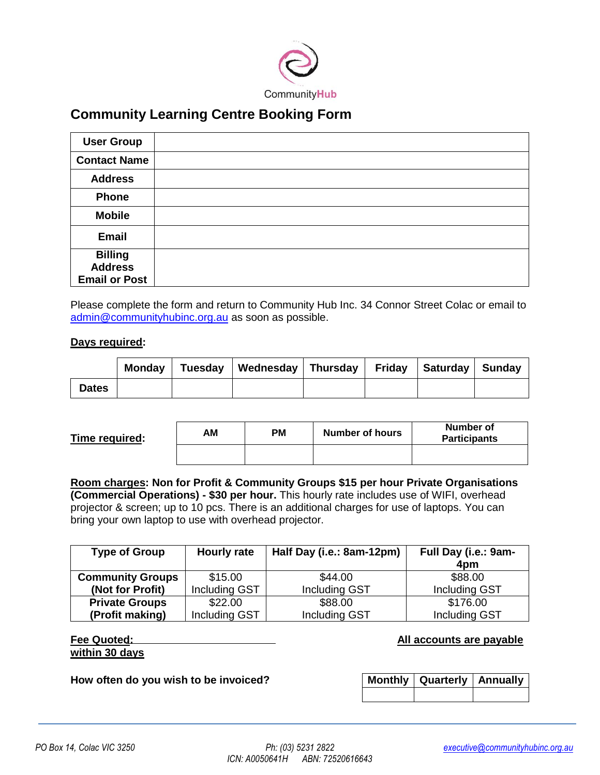

# **Community Learning Centre Booking Form**

| <b>User Group</b>                                        |  |
|----------------------------------------------------------|--|
| <b>Contact Name</b>                                      |  |
| <b>Address</b>                                           |  |
| <b>Phone</b>                                             |  |
| <b>Mobile</b>                                            |  |
| <b>Email</b>                                             |  |
| <b>Billing</b><br><b>Address</b><br><b>Email or Post</b> |  |

Please complete the form and return to Community Hub Inc. 34 Connor Street Colac or email to [admin@communityhubinc.org.au](mailto:admin@communityhubinc.org.au) as soon as possible.

## **Days required:**

|              |  | Monday   Tuesday   Wednesday   Thursday   Friday   Saturday   Sunday |  |  |
|--------------|--|----------------------------------------------------------------------|--|--|
| <b>Dates</b> |  |                                                                      |  |  |

| Time required: | AΜ | <b>PM</b> | Number of hours | Number of<br><b>Participants</b> |
|----------------|----|-----------|-----------------|----------------------------------|
|                |    |           |                 |                                  |

**Room charges: Non for Profit & Community Groups \$15 per hour Private Organisations (Commercial Operations) - \$30 per hour.** This hourly rate includes use of WIFI, overhead projector & screen; up to 10 pcs. There is an additional charges for use of laptops. You can bring your own laptop to use with overhead projector.

| <b>Type of Group</b>    | <b>Hourly rate</b> | Half Day (i.e.: 8am-12pm) | Full Day (i.e.: 9am- |  |
|-------------------------|--------------------|---------------------------|----------------------|--|
|                         |                    |                           | 4pm                  |  |
| <b>Community Groups</b> | \$15.00            | \$44.00                   | \$88.00              |  |
| (Not for Profit)        | Including GST      | <b>Including GST</b>      | Including GST        |  |
| <b>Private Groups</b>   | \$22.00            | \$88.00                   | \$176.00             |  |
| (Profit making)         | Including GST      | Including GST             | Including GST        |  |

| Fee Quoted:    |  |
|----------------|--|
| within 30 days |  |

**All accounts are payable** 

**How often do you wish to be invoiced?** 

| Monthly   Quarterly   Annually |  |
|--------------------------------|--|
|                                |  |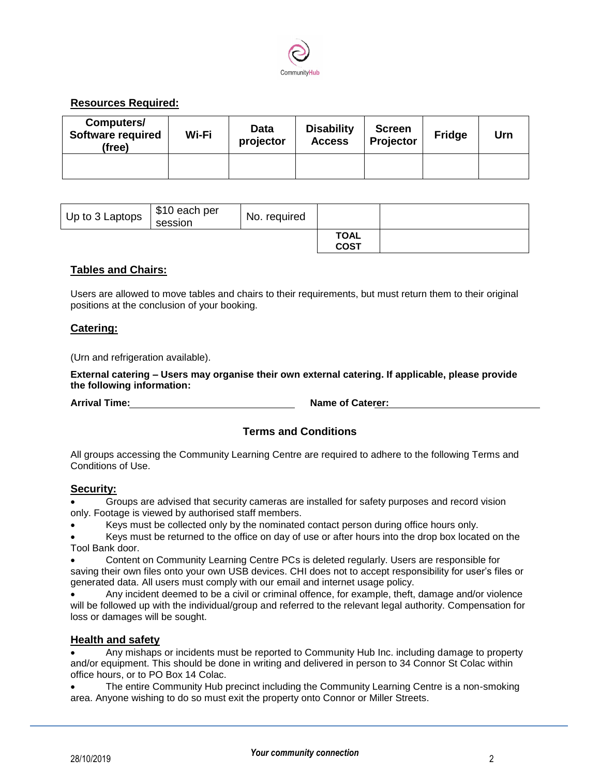

# **Resources Required:**

| Computers/<br><b>Software required</b><br>(free) | Wi-Fi | Data<br>projector | <b>Disability</b><br><b>Access</b> | <b>Screen</b><br>Projector | <b>Fridge</b> | Urn |
|--------------------------------------------------|-------|-------------------|------------------------------------|----------------------------|---------------|-----|
|                                                  |       |                   |                                    |                            |               |     |

| Up to 3 Laptops | \$10 each per<br>session | No. required |                            |  |
|-----------------|--------------------------|--------------|----------------------------|--|
|                 |                          |              | <b>TOAL</b><br><b>COST</b> |  |

## **Tables and Chairs:**

Users are allowed to move tables and chairs to their requirements, but must return them to their original positions at the conclusion of your booking.

## **Catering:**

(Urn and refrigeration available).

**External catering – Users may organise their own external catering. If applicable, please provide the following information:**

**Arrival Time:** Name of Caterer:

## **Terms and Conditions**

All groups accessing the Community Learning Centre are required to adhere to the following Terms and Conditions of Use.

#### **Security:**

 Groups are advised that security cameras are installed for safety purposes and record vision only. Footage is viewed by authorised staff members.

Keys must be collected only by the nominated contact person during office hours only.

 Keys must be returned to the office on day of use or after hours into the drop box located on the Tool Bank door.

 Content on Community Learning Centre PCs is deleted regularly. Users are responsible for saving their own files onto your own USB devices. CHI does not to accept responsibility for user's files or generated data. All users must comply with our email and internet usage policy.

 Any incident deemed to be a civil or criminal offence, for example, theft, damage and/or violence will be followed up with the individual/group and referred to the relevant legal authority. Compensation for loss or damages will be sought.

#### **Health and safety**

 Any mishaps or incidents must be reported to Community Hub Inc. including damage to property and/or equipment. This should be done in writing and delivered in person to 34 Connor St Colac within office hours, or to PO Box 14 Colac.

 The entire Community Hub precinct including the Community Learning Centre is a non-smoking area. Anyone wishing to do so must exit the property onto Connor or Miller Streets.